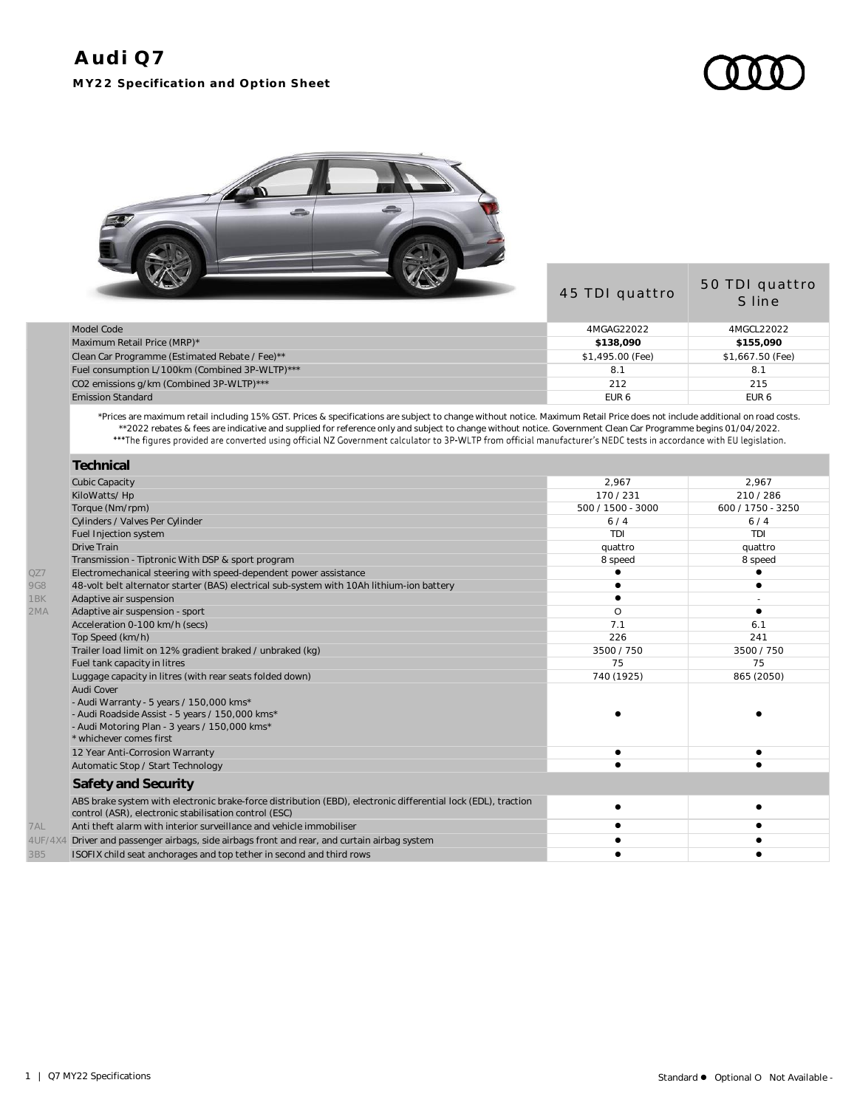



|                                                | 45 TDI quattro   | 50 TDI quattro<br>S line |
|------------------------------------------------|------------------|--------------------------|
| Model Code                                     | 4MGAG22022       | 4MGCL22022               |
| Maximum Retail Price (MRP)*                    | \$138,090        | \$155,090                |
| Clean Car Programme (Estimated Rebate / Fee)** | \$1,495.00 (Fee) | \$1,667.50 (Fee)         |
| Fuel consumption L/100km (Combined 3P-WLTP)*** | 8.1              | 8.1                      |
| CO2 emissions g/km (Combined 3P-WLTP)***       | 212              | 215                      |
| <b>Emission Standard</b>                       | EUR <sub>6</sub> | EUR <sub>6</sub>         |
|                                                |                  |                          |

\*Prices are maximum retail including 15% GST. Prices & specifications are subject to change without notice. Maximum Retail Price does not include additional on road costs. \*\*2022 rebates & fees are indicative and supplied for reference only and subject to change without notice. Government Clean Car Programme begins 01/04/2022.

| Technical                                                                                                                                                              |                   |                   |
|------------------------------------------------------------------------------------------------------------------------------------------------------------------------|-------------------|-------------------|
| <b>Cubic Capacity</b>                                                                                                                                                  | 2,967             | 2,967             |
| KiloWatts/Hp                                                                                                                                                           | 170/231           | 210/286           |
| Torque (Nm/rpm)                                                                                                                                                        | 500 / 1500 - 3000 | 600 / 1750 - 3250 |
| Cylinders / Valves Per Cylinder                                                                                                                                        | 6/4               | 6/4               |
| Fuel Injection system                                                                                                                                                  | TDI               | TDI               |
| Drive Train                                                                                                                                                            | quattro           | quattro           |
| Transmission - Tiptronic With DSP & sport program                                                                                                                      | 8 speed           | 8 speed           |
| Electromechanical steering with speed-dependent power assistance                                                                                                       |                   |                   |
| 48-volt belt alternator starter (BAS) electrical sub-system with 10Ah lithium-ion battery                                                                              |                   |                   |
| Adaptive air suspension                                                                                                                                                |                   |                   |
| Adaptive air suspension - sport                                                                                                                                        | O                 |                   |
| Acceleration 0-100 km/h (secs)                                                                                                                                         | 7.1               | 6.1               |
| Top Speed (km/h)                                                                                                                                                       | 226               | 241               |
| Trailer load limit on 12% gradient braked / unbraked (kg)                                                                                                              | 3500 / 750        | 3500 / 750        |
| Fuel tank capacity in litres                                                                                                                                           | 75                | 75                |
| Luggage capacity in litres (with rear seats folded down)                                                                                                               | 740 (1925)        | 865 (2050)        |
| Audi Cover                                                                                                                                                             |                   |                   |
| - Audi Warranty - 5 years / 150,000 kms*                                                                                                                               |                   |                   |
| - Audi Roadside Assist - 5 years / 150,000 kms*                                                                                                                        |                   |                   |
| - Audi Motoring Plan - 3 years / 150,000 kms*                                                                                                                          |                   |                   |
| * whichever comes first                                                                                                                                                |                   |                   |
| 12 Year Anti-Corrosion Warranty                                                                                                                                        |                   |                   |
| Automatic Stop / Start Technology                                                                                                                                      |                   |                   |
| Safety and Security                                                                                                                                                    |                   |                   |
| ABS brake system with electronic brake-force distribution (EBD), electronic differential lock (EDL), traction<br>control (ASR), electronic stabilisation control (ESC) |                   |                   |
| Anti theft alarm with interior surveillance and vehicle immobiliser                                                                                                    |                   |                   |
| Driver and passenger airbags, side airbags front and rear, and curtain airbag system<br>4UF/4X4                                                                        |                   |                   |
| ISOFIX child seat anchorages and top tether in second and third rows                                                                                                   |                   |                   |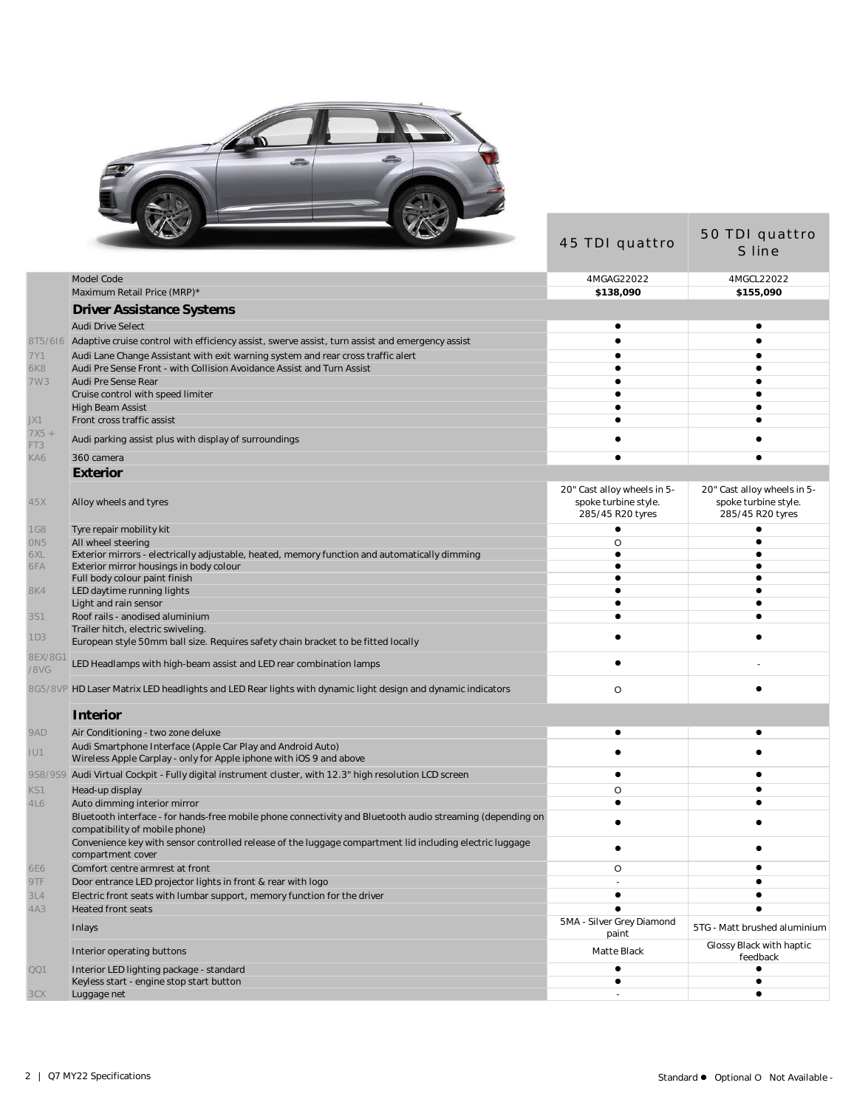

|                       | $\sqrt{2}$                                                                                                                                   | 45 TDI quattro                                                          | 50 TDI quattro<br>S line                                                |
|-----------------------|----------------------------------------------------------------------------------------------------------------------------------------------|-------------------------------------------------------------------------|-------------------------------------------------------------------------|
|                       | Model Code                                                                                                                                   | 4MGAG22022                                                              | 4MGCL22022                                                              |
|                       | Maximum Retail Price (MRP)*                                                                                                                  | \$138,090                                                               | \$155,090                                                               |
|                       | Driver Assistance Systems                                                                                                                    |                                                                         |                                                                         |
|                       | <b>Audi Drive Select</b>                                                                                                                     | $\bullet$                                                               |                                                                         |
| 8T5/616               | Adaptive cruise control with efficiency assist, swerve assist, turn assist and emergency assist                                              |                                                                         |                                                                         |
| 7Y1                   | Audi Lane Change Assistant with exit warning system and rear cross traffic alert                                                             |                                                                         |                                                                         |
| 6K8                   | Audi Pre Sense Front - with Collision Avoidance Assist and Turn Assist                                                                       |                                                                         |                                                                         |
| 7W3                   | Audi Pre Sense Rear                                                                                                                          |                                                                         |                                                                         |
|                       | Cruise control with speed limiter<br><b>High Beam Assist</b>                                                                                 |                                                                         |                                                                         |
| JX1                   | Front cross traffic assist                                                                                                                   |                                                                         |                                                                         |
| $7X5 +$<br>FT3        | Audi parking assist plus with display of surroundings                                                                                        |                                                                         |                                                                         |
| KA6                   | 360 camera                                                                                                                                   |                                                                         |                                                                         |
|                       | Exterior                                                                                                                                     |                                                                         |                                                                         |
| 45X                   | Alloy wheels and tyres                                                                                                                       | 20" Cast alloy wheels in 5-<br>spoke turbine style.<br>285/45 R20 tyres | 20" Cast alloy wheels in 5-<br>spoke turbine style.<br>285/45 R20 tyres |
| <b>1G8</b>            | Tyre repair mobility kit                                                                                                                     | $\bullet$                                                               |                                                                         |
| ON <sub>5</sub>       | All wheel steering                                                                                                                           | O                                                                       |                                                                         |
| 6XL                   | Exterior mirrors - electrically adjustable, heated, memory function and automatically dimming                                                |                                                                         |                                                                         |
| 6FA                   | Exterior mirror housings in body colour                                                                                                      |                                                                         |                                                                         |
| <b>8K4</b>            | Full body colour paint finish<br>LED daytime running lights                                                                                  |                                                                         |                                                                         |
|                       | Light and rain sensor                                                                                                                        |                                                                         |                                                                         |
| <b>3S1</b>            | Roof rails - anodised aluminium                                                                                                              |                                                                         |                                                                         |
| 1D3                   | Trailer hitch, electric swiveling<br>European style 50mm ball size. Requires safety chain bracket to be fitted locally                       |                                                                         |                                                                         |
| <b>8EX/8G</b><br>/8VG | LED Headlamps with high-beam assist and LED rear combination lamps                                                                           |                                                                         |                                                                         |
|                       | 8G5/8VP HD Laser Matrix LED headlights and LED Rear lights with dynamic light design and dynamic indicators                                  | O                                                                       |                                                                         |
|                       | Interior                                                                                                                                     |                                                                         |                                                                         |
| 9AD                   | Air Conditioning - two zone deluxe                                                                                                           | ٠                                                                       |                                                                         |
| IU1                   | Audi Smartphone Interface (Apple Car Play and Android Auto)<br>Wireless Apple Carplay - only for Apple iphone with iOS 9 and above           |                                                                         |                                                                         |
|                       | 9S8/9S9 Audi Virtual Cockpit - Fully digital instrument cluster, with 12.3" high resolution LCD screen                                       | $\bullet$                                                               |                                                                         |
| KS1                   | Head-up display                                                                                                                              | O                                                                       |                                                                         |
| 4L6                   | Auto dimming interior mirror                                                                                                                 | $\bullet$                                                               |                                                                         |
|                       | Bluetooth interface - for hands-free mobile phone connectivity and Bluetooth audio streaming (depending on<br>compatibility of mobile phone) |                                                                         |                                                                         |
|                       | Convenience key with sensor controlled release of the luggage compartment lid including electric luggage<br>compartment cover                |                                                                         |                                                                         |
| <b>6E6</b>            | Comfort centre armrest at front                                                                                                              | O                                                                       | ٠                                                                       |
| 9TF                   | Door entrance LED projector lights in front & rear with logo                                                                                 |                                                                         |                                                                         |
| 3L4                   | Electric front seats with lumbar support, memory function for the driver                                                                     | ٠                                                                       |                                                                         |
| 4A3                   | <b>Heated front seats</b>                                                                                                                    | $\bullet$                                                               |                                                                         |
|                       | Inlays                                                                                                                                       | 5MA - Silver Grey Diamond<br>paint                                      | 5TG - Matt brushed aluminium                                            |
|                       | Interior operating buttons                                                                                                                   | Matte Black                                                             | Glossy Black with haptic<br>feedback                                    |
| QQ1                   | Interior LED lighting package - standard                                                                                                     | ٠<br>٠                                                                  | $\bullet$                                                               |
| 3CX                   | Keyless start - engine stop start button<br>Luggage net                                                                                      |                                                                         | ٠                                                                       |
|                       |                                                                                                                                              |                                                                         |                                                                         |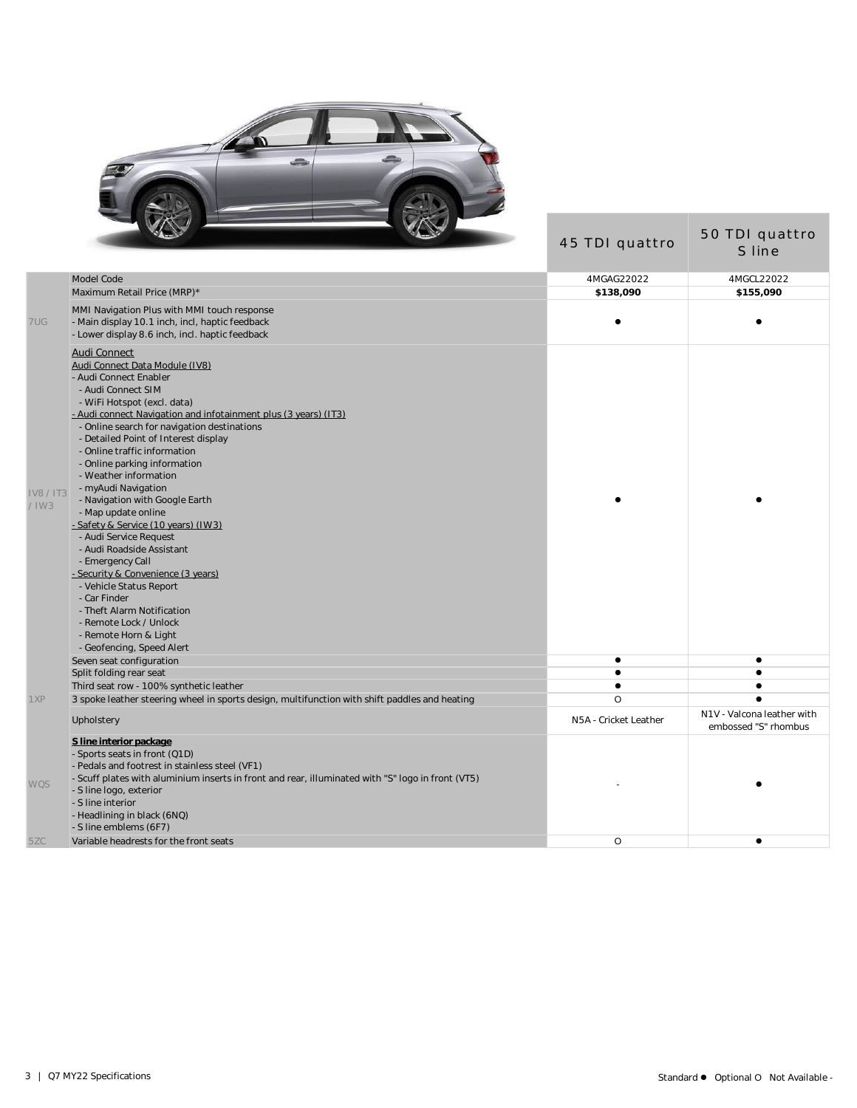

|                             | $\sqrt{2}$                                                                                                                                                                                                                                                                                                                                                                                                                                                                                                                                                                                                                                                                                                                                                                         | 45 TDI quattro        | 50 TDI quattro<br>S line                           |
|-----------------------------|------------------------------------------------------------------------------------------------------------------------------------------------------------------------------------------------------------------------------------------------------------------------------------------------------------------------------------------------------------------------------------------------------------------------------------------------------------------------------------------------------------------------------------------------------------------------------------------------------------------------------------------------------------------------------------------------------------------------------------------------------------------------------------|-----------------------|----------------------------------------------------|
|                             | Model Code                                                                                                                                                                                                                                                                                                                                                                                                                                                                                                                                                                                                                                                                                                                                                                         | 4MGAG22022            | 4MGCL22022                                         |
|                             | Maximum Retail Price (MRP)*                                                                                                                                                                                                                                                                                                                                                                                                                                                                                                                                                                                                                                                                                                                                                        | \$138,090             | \$155,090                                          |
| 7UG                         | MMI Navigation Plus with MMI touch response<br>- Main display 10.1 inch, incl, haptic feedback<br>- Lower display 8.6 inch, incl. haptic feedback                                                                                                                                                                                                                                                                                                                                                                                                                                                                                                                                                                                                                                  |                       |                                                    |
| <b>IV8 / IT3</b><br>$/$ IW3 | Audi Connect<br>Audi Connect Data Module (IV8)<br>- Audi Connect Enabler<br>- Audi Connect SIM<br>- WiFi Hotspot (excl. data)<br>- Audi connect Navigation and infotainment plus (3 years) (IT3).<br>- Online search for navigation destinations<br>- Detailed Point of Interest display<br>- Online traffic information<br>- Online parking information<br>- Weather information<br>- myAudi Navigation<br>- Navigation with Google Earth<br>- Map update online<br>- Safety & Service (10 years) (IW3)<br>- Audi Service Request<br>- Audi Roadside Assistant<br>- Emergency Call<br>- Security & Convenience (3 years)<br>- Vehicle Status Report<br>- Car Finder<br>- Theft Alarm Notification<br>- Remote Lock / Unlock<br>- Remote Horn & Light<br>- Geofencing, Speed Alert |                       |                                                    |
|                             | Seven seat configuration                                                                                                                                                                                                                                                                                                                                                                                                                                                                                                                                                                                                                                                                                                                                                           | $\bullet$             | $\bullet$                                          |
|                             | Split folding rear seat                                                                                                                                                                                                                                                                                                                                                                                                                                                                                                                                                                                                                                                                                                                                                            | $\bullet$             |                                                    |
|                             | Third seat row - 100% synthetic leather                                                                                                                                                                                                                                                                                                                                                                                                                                                                                                                                                                                                                                                                                                                                            | $\bullet$             |                                                    |
| 1XP                         | 3 spoke leather steering wheel in sports design, multifunction with shift paddles and heating                                                                                                                                                                                                                                                                                                                                                                                                                                                                                                                                                                                                                                                                                      | $\circ$               |                                                    |
|                             | Upholstery                                                                                                                                                                                                                                                                                                                                                                                                                                                                                                                                                                                                                                                                                                                                                                         | N5A - Cricket Leather | N1V - Valcona leather with<br>embossed "S" rhombus |
| <b>WQS</b><br>5ZC           | S line interior package<br>- Sports seats in front (Q1D)<br>- Pedals and footrest in stainless steel (VF1)<br>- Scuff plates with aluminium inserts in front and rear, illuminated with "S" logo in front (VT5)<br>- S line logo, exterior<br>- S line interior<br>- Headlining in black (6NQ)<br>- S line emblems (6F7)<br>Variable headrests for the front seats                                                                                                                                                                                                                                                                                                                                                                                                                 | O                     | ٠                                                  |
|                             |                                                                                                                                                                                                                                                                                                                                                                                                                                                                                                                                                                                                                                                                                                                                                                                    |                       |                                                    |